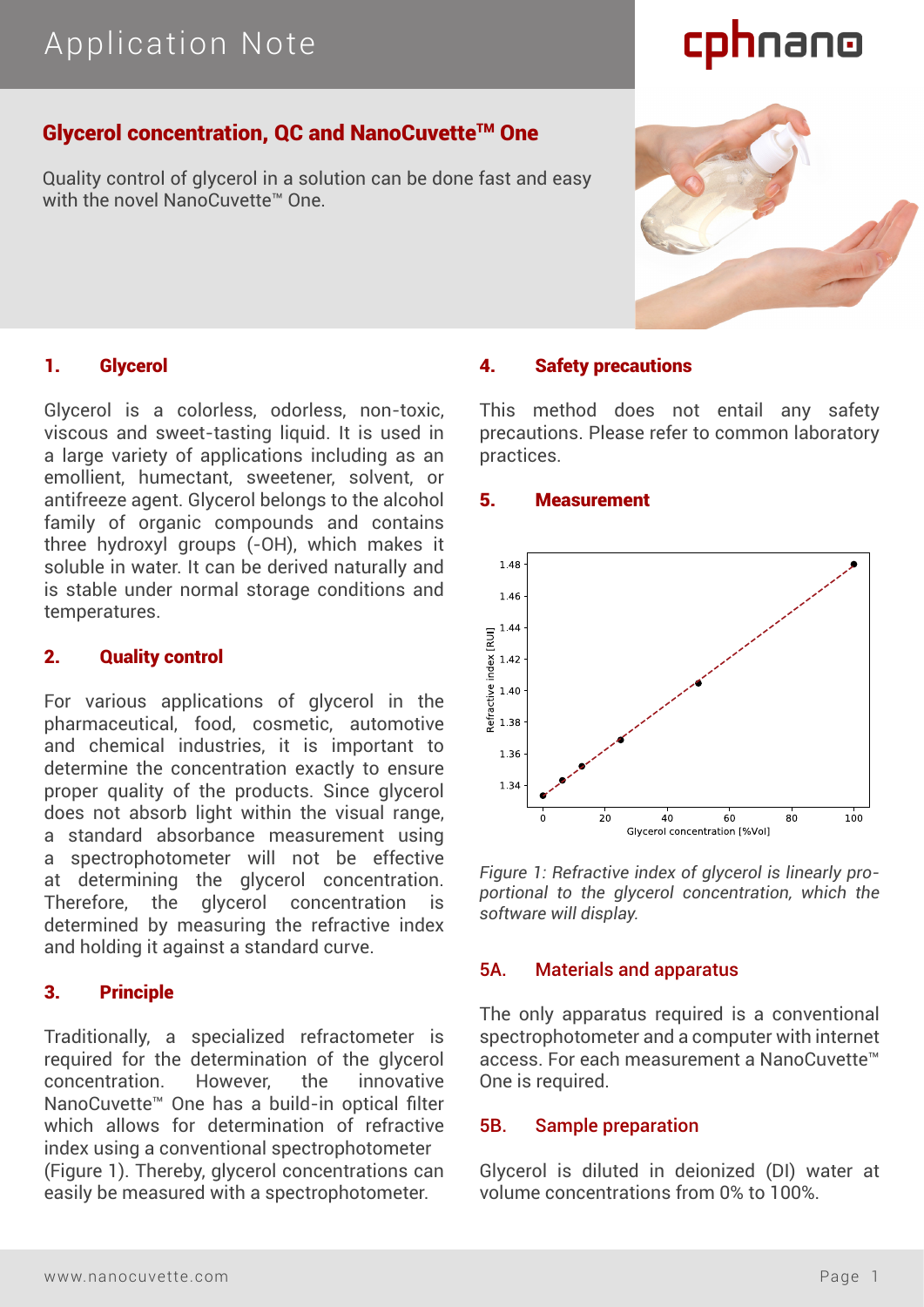# cphnano

# Glycerol concentration, QC and NanoCuvette™ One

Quality control of glycerol in a solution can be done fast and easy with the novel NanoCuvette™ One

# 1. Glycerol

Glycerol is a colorless, odorless, non-toxic, viscous and sweet-tasting liquid. It is used in a large variety of applications including as an emollient, humectant, sweetener, solvent, or antifreeze agent. Glycerol belongs to the alcohol family of organic compounds and contains three hydroxyl groups (-OH), which makes it soluble in water. It can be derived naturally and is stable under normal storage conditions and temperatures.

### 2. Quality control

For various applications of glycerol in the pharmaceutical, food, cosmetic, automotive and chemical industries, it is important to determine the concentration exactly to ensure proper quality of the products. Since glycerol does not absorb light within the visual range, a standard absorbance measurement using a spectrophotometer will not be effective at determining the glycerol concentration. Therefore, the glycerol concentration determined by measuring the refractive index and holding it against a standard curve.

## 3. Principle

Traditionally, a specialized refractometer is required for the determination of the glycerol concentration. However, the innovative NanoCuvette™ One has a build-in optical filter which allows for determination of refractive index using a conventional spectrophotometer (Figure 1). Thereby, glycerol concentrations can easily be measured with a spectrophotometer.

# 4. Safety precautions

This method does not entail any safety precautions. Please refer to common laboratory practices.

#### 5. Measurement



*Figure 1: Refractive index of glycerol is linearly proportional to the glycerol concentration, which the software will display.*

## 5A. Materials and apparatus

The only apparatus required is a conventional spectrophotometer and a computer with internet access. For each measurement a NanoCuvette™ One is required.

#### 5B. Sample preparation

Glycerol is diluted in deionized (DI) water at volume concentrations from 0% to 100%.